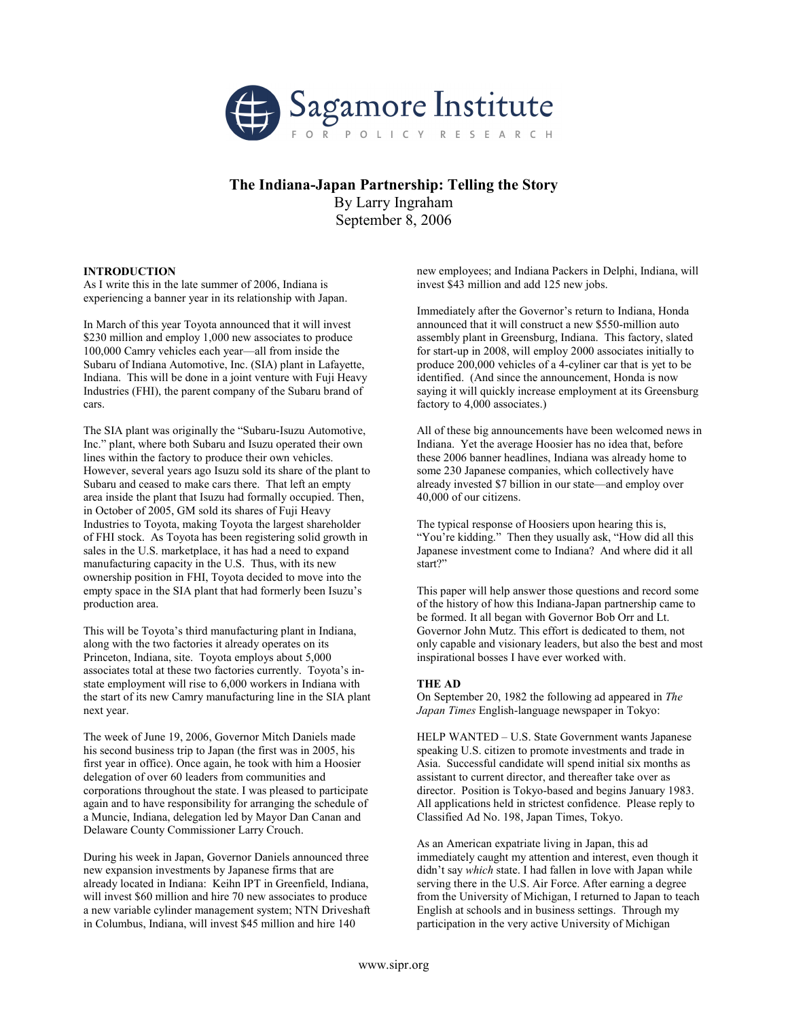

# The Indiana-Japan Partnership: Telling the Story

By Larry Ingraham September 8, 2006

# INTRODUCTION

As I write this in the late summer of 2006, Indiana is experiencing a banner year in its relationship with Japan.

In March of this year Toyota announced that it will invest \$230 million and employ 1,000 new associates to produce 100,000 Camry vehicles each year—all from inside the Subaru of Indiana Automotive, Inc. (SIA) plant in Lafayette, Indiana. This will be done in a joint venture with Fuji Heavy Industries (FHI), the parent company of the Subaru brand of cars.

The SIA plant was originally the "Subaru-Isuzu Automotive, Inc." plant, where both Subaru and Isuzu operated their own lines within the factory to produce their own vehicles. However, several years ago Isuzu sold its share of the plant to Subaru and ceased to make cars there. That left an empty area inside the plant that Isuzu had formally occupied. Then, in October of 2005, GM sold its shares of Fuji Heavy Industries to Toyota, making Toyota the largest shareholder of FHI stock. As Toyota has been registering solid growth in sales in the U.S. marketplace, it has had a need to expand manufacturing capacity in the U.S. Thus, with its new ownership position in FHI, Toyota decided to move into the empty space in the SIA plant that had formerly been Isuzu's production area.

This will be Toyota's third manufacturing plant in Indiana, along with the two factories it already operates on its Princeton, Indiana, site. Toyota employs about 5,000 associates total at these two factories currently. Toyota's instate employment will rise to 6,000 workers in Indiana with the start of its new Camry manufacturing line in the SIA plant next year.

The week of June 19, 2006, Governor Mitch Daniels made his second business trip to Japan (the first was in 2005, his first year in office). Once again, he took with him a Hoosier delegation of over 60 leaders from communities and corporations throughout the state. I was pleased to participate again and to have responsibility for arranging the schedule of a Muncie, Indiana, delegation led by Mayor Dan Canan and Delaware County Commissioner Larry Crouch.

During his week in Japan, Governor Daniels announced three new expansion investments by Japanese firms that are already located in Indiana: Keihn IPT in Greenfield, Indiana, will invest \$60 million and hire 70 new associates to produce a new variable cylinder management system; NTN Driveshaft in Columbus, Indiana, will invest \$45 million and hire 140

new employees; and Indiana Packers in Delphi, Indiana, will invest \$43 million and add 125 new jobs.

Immediately after the Governor's return to Indiana, Honda announced that it will construct a new \$550-million auto assembly plant in Greensburg, Indiana. This factory, slated for start-up in 2008, will employ 2000 associates initially to produce 200,000 vehicles of a 4-cyliner car that is yet to be identified. (And since the announcement, Honda is now saying it will quickly increase employment at its Greensburg factory to 4,000 associates.)

All of these big announcements have been welcomed news in Indiana. Yet the average Hoosier has no idea that, before these 2006 banner headlines, Indiana was already home to some 230 Japanese companies, which collectively have already invested \$7 billion in our state—and employ over 40,000 of our citizens.

The typical response of Hoosiers upon hearing this is, "You're kidding." Then they usually ask, "How did all this Japanese investment come to Indiana? And where did it all start?"

This paper will help answer those questions and record some of the history of how this Indiana-Japan partnership came to be formed. It all began with Governor Bob Orr and Lt. Governor John Mutz. This effort is dedicated to them, not only capable and visionary leaders, but also the best and most inspirational bosses I have ever worked with.

# THE AD

On September 20, 1982 the following ad appeared in The Japan Times English-language newspaper in Tokyo:

HELP WANTED – U.S. State Government wants Japanese speaking U.S. citizen to promote investments and trade in Asia. Successful candidate will spend initial six months as assistant to current director, and thereafter take over as director. Position is Tokyo-based and begins January 1983. All applications held in strictest confidence. Please reply to Classified Ad No. 198, Japan Times, Tokyo.

As an American expatriate living in Japan, this ad immediately caught my attention and interest, even though it didn't say which state. I had fallen in love with Japan while serving there in the U.S. Air Force. After earning a degree from the University of Michigan, I returned to Japan to teach English at schools and in business settings. Through my participation in the very active University of Michigan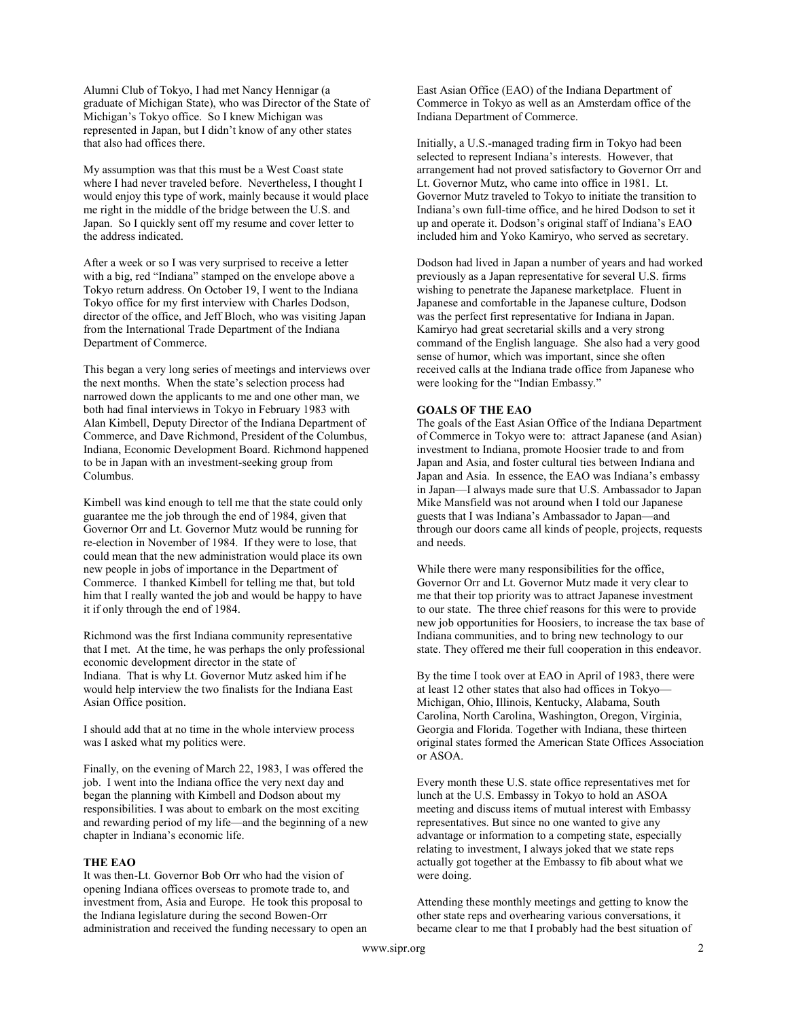Alumni Club of Tokyo, I had met Nancy Hennigar (a graduate of Michigan State), who was Director of the State of Michigan's Tokyo office. So I knew Michigan was represented in Japan, but I didn't know of any other states that also had offices there.

My assumption was that this must be a West Coast state where I had never traveled before. Nevertheless, I thought I would enjoy this type of work, mainly because it would place me right in the middle of the bridge between the U.S. and Japan. So I quickly sent off my resume and cover letter to the address indicated.

After a week or so I was very surprised to receive a letter with a big, red "Indiana" stamped on the envelope above a Tokyo return address. On October 19, I went to the Indiana Tokyo office for my first interview with Charles Dodson, director of the office, and Jeff Bloch, who was visiting Japan from the International Trade Department of the Indiana Department of Commerce.

This began a very long series of meetings and interviews over the next months. When the state's selection process had narrowed down the applicants to me and one other man, we both had final interviews in Tokyo in February 1983 with Alan Kimbell, Deputy Director of the Indiana Department of Commerce, and Dave Richmond, President of the Columbus, Indiana, Economic Development Board. Richmond happened to be in Japan with an investment-seeking group from Columbus.

Kimbell was kind enough to tell me that the state could only guarantee me the job through the end of 1984, given that Governor Orr and Lt. Governor Mutz would be running for re-election in November of 1984. If they were to lose, that could mean that the new administration would place its own new people in jobs of importance in the Department of Commerce. I thanked Kimbell for telling me that, but told him that I really wanted the job and would be happy to have it if only through the end of 1984.

Richmond was the first Indiana community representative that I met. At the time, he was perhaps the only professional economic development director in the state of Indiana. That is why Lt. Governor Mutz asked him if he would help interview the two finalists for the Indiana East Asian Office position.

I should add that at no time in the whole interview process was I asked what my politics were.

Finally, on the evening of March 22, 1983, I was offered the job. I went into the Indiana office the very next day and began the planning with Kimbell and Dodson about my responsibilities. I was about to embark on the most exciting and rewarding period of my life—and the beginning of a new chapter in Indiana's economic life.

# THE EAO

It was then-Lt. Governor Bob Orr who had the vision of opening Indiana offices overseas to promote trade to, and investment from, Asia and Europe. He took this proposal to the Indiana legislature during the second Bowen-Orr administration and received the funding necessary to open an East Asian Office (EAO) of the Indiana Department of Commerce in Tokyo as well as an Amsterdam office of the Indiana Department of Commerce.

Initially, a U.S.-managed trading firm in Tokyo had been selected to represent Indiana's interests. However, that arrangement had not proved satisfactory to Governor Orr and Lt. Governor Mutz, who came into office in 1981. Lt. Governor Mutz traveled to Tokyo to initiate the transition to Indiana's own full-time office, and he hired Dodson to set it up and operate it. Dodson's original staff of Indiana's EAO included him and Yoko Kamiryo, who served as secretary.

Dodson had lived in Japan a number of years and had worked previously as a Japan representative for several U.S. firms wishing to penetrate the Japanese marketplace. Fluent in Japanese and comfortable in the Japanese culture, Dodson was the perfect first representative for Indiana in Japan. Kamiryo had great secretarial skills and a very strong command of the English language. She also had a very good sense of humor, which was important, since she often received calls at the Indiana trade office from Japanese who were looking for the "Indian Embassy."

#### GOALS OF THE EAO

The goals of the East Asian Office of the Indiana Department of Commerce in Tokyo were to: attract Japanese (and Asian) investment to Indiana, promote Hoosier trade to and from Japan and Asia, and foster cultural ties between Indiana and Japan and Asia. In essence, the EAO was Indiana's embassy in Japan—I always made sure that U.S. Ambassador to Japan Mike Mansfield was not around when I told our Japanese guests that I was Indiana's Ambassador to Japan—and through our doors came all kinds of people, projects, requests and needs.

While there were many responsibilities for the office, Governor Orr and Lt. Governor Mutz made it very clear to me that their top priority was to attract Japanese investment to our state. The three chief reasons for this were to provide new job opportunities for Hoosiers, to increase the tax base of Indiana communities, and to bring new technology to our state. They offered me their full cooperation in this endeavor.

By the time I took over at EAO in April of 1983, there were at least 12 other states that also had offices in Tokyo— Michigan, Ohio, Illinois, Kentucky, Alabama, South Carolina, North Carolina, Washington, Oregon, Virginia, Georgia and Florida. Together with Indiana, these thirteen original states formed the American State Offices Association or ASOA.

Every month these U.S. state office representatives met for lunch at the U.S. Embassy in Tokyo to hold an ASOA meeting and discuss items of mutual interest with Embassy representatives. But since no one wanted to give any advantage or information to a competing state, especially relating to investment, I always joked that we state reps actually got together at the Embassy to fib about what we were doing.

Attending these monthly meetings and getting to know the other state reps and overhearing various conversations, it became clear to me that I probably had the best situation of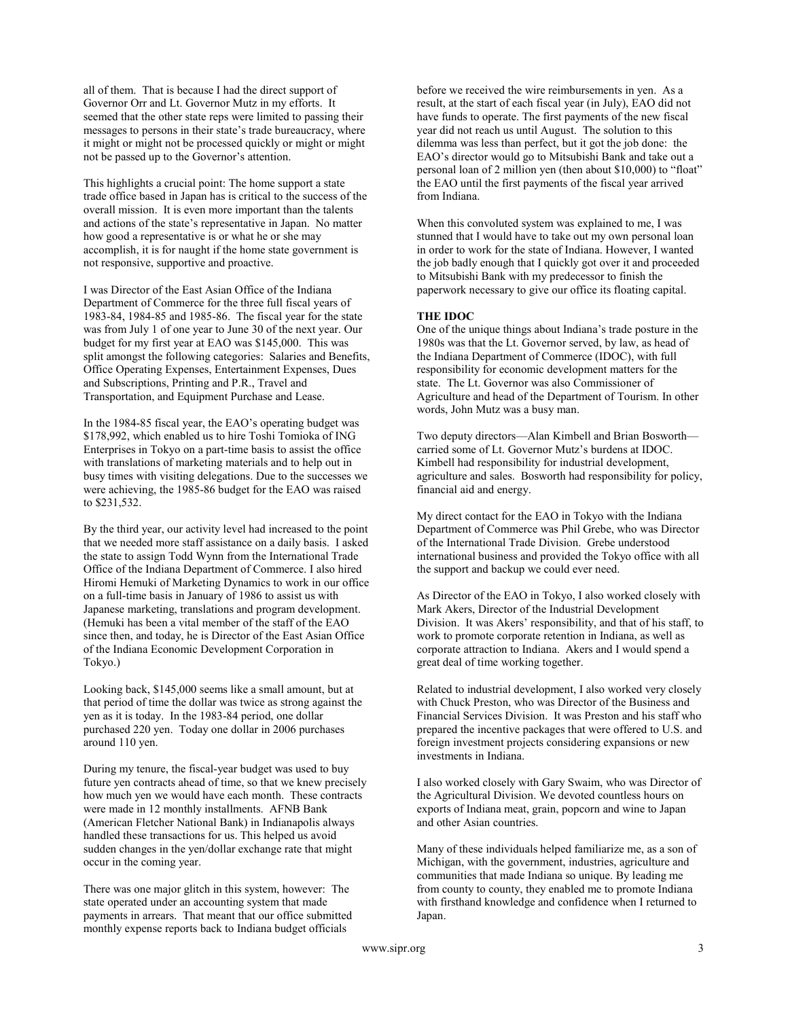all of them. That is because I had the direct support of Governor Orr and Lt. Governor Mutz in my efforts. It seemed that the other state reps were limited to passing their messages to persons in their state's trade bureaucracy, where it might or might not be processed quickly or might or might not be passed up to the Governor's attention.

This highlights a crucial point: The home support a state trade office based in Japan has is critical to the success of the overall mission. It is even more important than the talents and actions of the state's representative in Japan. No matter how good a representative is or what he or she may accomplish, it is for naught if the home state government is not responsive, supportive and proactive.

I was Director of the East Asian Office of the Indiana Department of Commerce for the three full fiscal years of 1983-84, 1984-85 and 1985-86. The fiscal year for the state was from July 1 of one year to June 30 of the next year. Our budget for my first year at EAO was \$145,000. This was split amongst the following categories: Salaries and Benefits, Office Operating Expenses, Entertainment Expenses, Dues and Subscriptions, Printing and P.R., Travel and Transportation, and Equipment Purchase and Lease.

In the 1984-85 fiscal year, the EAO's operating budget was \$178,992, which enabled us to hire Toshi Tomioka of ING Enterprises in Tokyo on a part-time basis to assist the office with translations of marketing materials and to help out in busy times with visiting delegations. Due to the successes we were achieving, the 1985-86 budget for the EAO was raised to \$231,532.

By the third year, our activity level had increased to the point that we needed more staff assistance on a daily basis. I asked the state to assign Todd Wynn from the International Trade Office of the Indiana Department of Commerce. I also hired Hiromi Hemuki of Marketing Dynamics to work in our office on a full-time basis in January of 1986 to assist us with Japanese marketing, translations and program development. (Hemuki has been a vital member of the staff of the EAO since then, and today, he is Director of the East Asian Office of the Indiana Economic Development Corporation in Tokyo.)

Looking back, \$145,000 seems like a small amount, but at that period of time the dollar was twice as strong against the yen as it is today. In the 1983-84 period, one dollar purchased 220 yen. Today one dollar in 2006 purchases around 110 yen.

During my tenure, the fiscal-year budget was used to buy future yen contracts ahead of time, so that we knew precisely how much yen we would have each month. These contracts were made in 12 monthly installments. AFNB Bank (American Fletcher National Bank) in Indianapolis always handled these transactions for us. This helped us avoid sudden changes in the yen/dollar exchange rate that might occur in the coming year.

There was one major glitch in this system, however: The state operated under an accounting system that made payments in arrears. That meant that our office submitted monthly expense reports back to Indiana budget officials

before we received the wire reimbursements in yen. As a result, at the start of each fiscal year (in July), EAO did not have funds to operate. The first payments of the new fiscal year did not reach us until August. The solution to this dilemma was less than perfect, but it got the job done: the EAO's director would go to Mitsubishi Bank and take out a personal loan of 2 million yen (then about \$10,000) to "float" the EAO until the first payments of the fiscal year arrived from Indiana.

When this convoluted system was explained to me, I was stunned that I would have to take out my own personal loan in order to work for the state of Indiana. However, I wanted the job badly enough that I quickly got over it and proceeded to Mitsubishi Bank with my predecessor to finish the paperwork necessary to give our office its floating capital.

# THE IDOC

One of the unique things about Indiana's trade posture in the 1980s was that the Lt. Governor served, by law, as head of the Indiana Department of Commerce (IDOC), with full responsibility for economic development matters for the state. The Lt. Governor was also Commissioner of Agriculture and head of the Department of Tourism. In other words, John Mutz was a busy man.

Two deputy directors—Alan Kimbell and Brian Bosworth carried some of Lt. Governor Mutz's burdens at IDOC. Kimbell had responsibility for industrial development, agriculture and sales. Bosworth had responsibility for policy, financial aid and energy.

My direct contact for the EAO in Tokyo with the Indiana Department of Commerce was Phil Grebe, who was Director of the International Trade Division. Grebe understood international business and provided the Tokyo office with all the support and backup we could ever need.

As Director of the EAO in Tokyo, I also worked closely with Mark Akers, Director of the Industrial Development Division. It was Akers' responsibility, and that of his staff, to work to promote corporate retention in Indiana, as well as corporate attraction to Indiana. Akers and I would spend a great deal of time working together.

Related to industrial development, I also worked very closely with Chuck Preston, who was Director of the Business and Financial Services Division. It was Preston and his staff who prepared the incentive packages that were offered to U.S. and foreign investment projects considering expansions or new investments in Indiana.

I also worked closely with Gary Swaim, who was Director of the Agricultural Division. We devoted countless hours on exports of Indiana meat, grain, popcorn and wine to Japan and other Asian countries.

Many of these individuals helped familiarize me, as a son of Michigan, with the government, industries, agriculture and communities that made Indiana so unique. By leading me from county to county, they enabled me to promote Indiana with firsthand knowledge and confidence when I returned to Japan.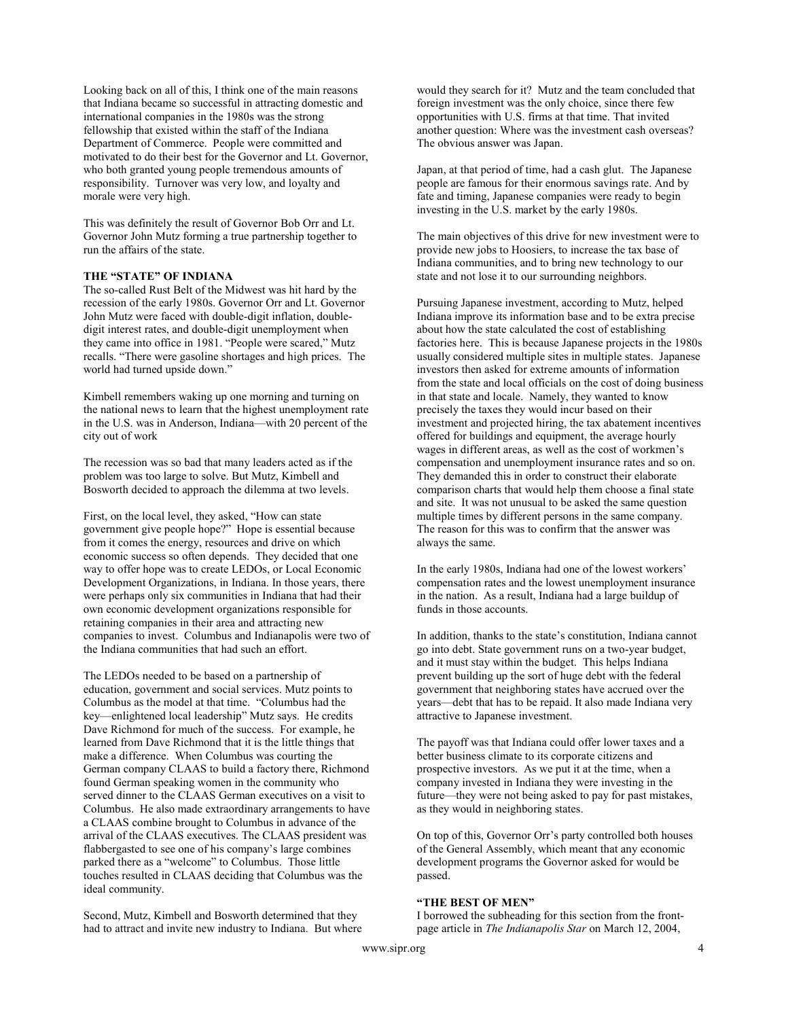Looking back on all of this, I think one of the main reasons that Indiana became so successful in attracting domestic and international companies in the 1980s was the strong fellowship that existed within the staff of the Indiana Department of Commerce. People were committed and motivated to do their best for the Governor and Lt. Governor, who both granted young people tremendous amounts of responsibility. Turnover was very low, and loyalty and morale were very high.

This was definitely the result of Governor Bob Orr and Lt. Governor John Mutz forming a true partnership together to run the affairs of the state.

# THE "STATE" OF INDIANA

The so-called Rust Belt of the Midwest was hit hard by the recession of the early 1980s. Governor Orr and Lt. Governor John Mutz were faced with double-digit inflation, doubledigit interest rates, and double-digit unemployment when they came into office in 1981. "People were scared," Mutz recalls. "There were gasoline shortages and high prices. The world had turned upside down."

Kimbell remembers waking up one morning and turning on the national news to learn that the highest unemployment rate in the U.S. was in Anderson, Indiana—with 20 percent of the city out of work

The recession was so bad that many leaders acted as if the problem was too large to solve. But Mutz, Kimbell and Bosworth decided to approach the dilemma at two levels.

First, on the local level, they asked, "How can state government give people hope?" Hope is essential because from it comes the energy, resources and drive on which economic success so often depends. They decided that one way to offer hope was to create LEDOs, or Local Economic Development Organizations, in Indiana. In those years, there were perhaps only six communities in Indiana that had their own economic development organizations responsible for retaining companies in their area and attracting new companies to invest. Columbus and Indianapolis were two of the Indiana communities that had such an effort.

The LEDOs needed to be based on a partnership of education, government and social services. Mutz points to Columbus as the model at that time. "Columbus had the key—enlightened local leadership" Mutz says. He credits Dave Richmond for much of the success. For example, he learned from Dave Richmond that it is the little things that make a difference. When Columbus was courting the German company CLAAS to build a factory there, Richmond found German speaking women in the community who served dinner to the CLAAS German executives on a visit to Columbus. He also made extraordinary arrangements to have a CLAAS combine brought to Columbus in advance of the arrival of the CLAAS executives. The CLAAS president was flabbergasted to see one of his company's large combines parked there as a "welcome" to Columbus. Those little touches resulted in CLAAS deciding that Columbus was the ideal community.

Second, Mutz, Kimbell and Bosworth determined that they had to attract and invite new industry to Indiana. But where would they search for it? Mutz and the team concluded that foreign investment was the only choice, since there few opportunities with U.S. firms at that time. That invited another question: Where was the investment cash overseas? The obvious answer was Japan.

Japan, at that period of time, had a cash glut. The Japanese people are famous for their enormous savings rate. And by fate and timing, Japanese companies were ready to begin investing in the U.S. market by the early 1980s.

The main objectives of this drive for new investment were to provide new jobs to Hoosiers, to increase the tax base of Indiana communities, and to bring new technology to our state and not lose it to our surrounding neighbors.

Pursuing Japanese investment, according to Mutz, helped Indiana improve its information base and to be extra precise about how the state calculated the cost of establishing factories here. This is because Japanese projects in the 1980s usually considered multiple sites in multiple states. Japanese investors then asked for extreme amounts of information from the state and local officials on the cost of doing business in that state and locale. Namely, they wanted to know precisely the taxes they would incur based on their investment and projected hiring, the tax abatement incentives offered for buildings and equipment, the average hourly wages in different areas, as well as the cost of workmen's compensation and unemployment insurance rates and so on. They demanded this in order to construct their elaborate comparison charts that would help them choose a final state and site. It was not unusual to be asked the same question multiple times by different persons in the same company. The reason for this was to confirm that the answer was always the same.

In the early 1980s, Indiana had one of the lowest workers' compensation rates and the lowest unemployment insurance in the nation. As a result, Indiana had a large buildup of funds in those accounts.

In addition, thanks to the state's constitution, Indiana cannot go into debt. State government runs on a two-year budget, and it must stay within the budget. This helps Indiana prevent building up the sort of huge debt with the federal government that neighboring states have accrued over the years—debt that has to be repaid. It also made Indiana very attractive to Japanese investment.

The payoff was that Indiana could offer lower taxes and a better business climate to its corporate citizens and prospective investors. As we put it at the time, when a company invested in Indiana they were investing in the future—they were not being asked to pay for past mistakes, as they would in neighboring states.

On top of this, Governor Orr's party controlled both houses of the General Assembly, which meant that any economic development programs the Governor asked for would be passed.

# "THE BEST OF MEN"

I borrowed the subheading for this section from the frontpage article in The Indianapolis Star on March 12, 2004,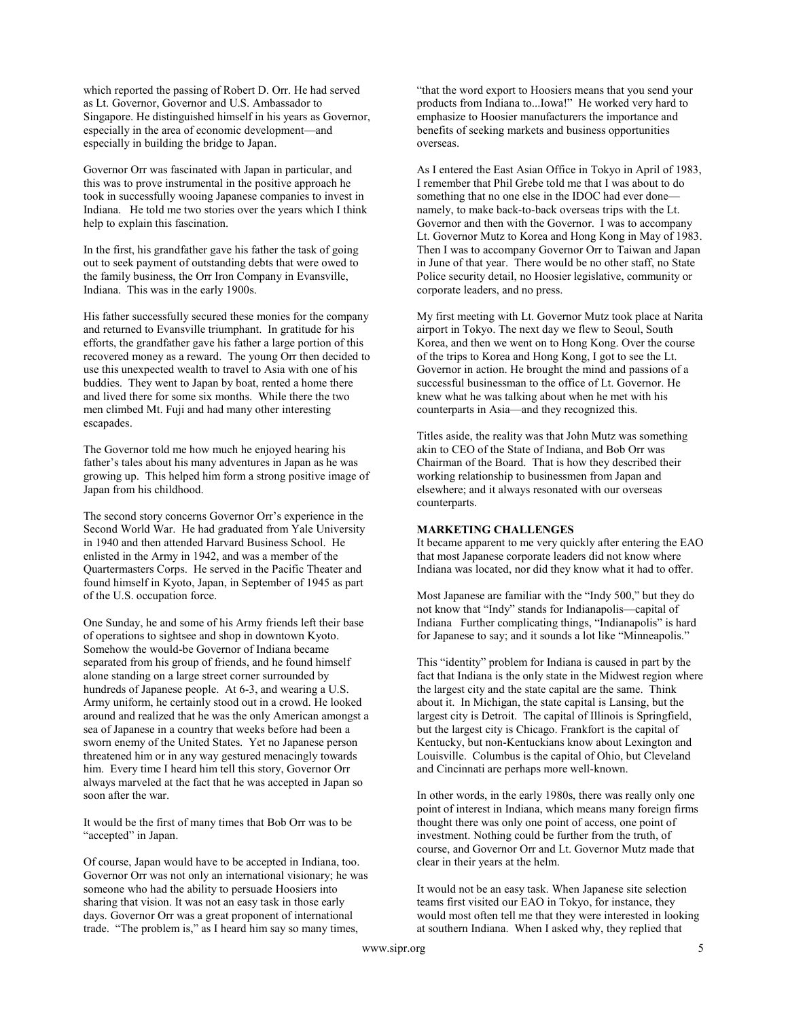which reported the passing of Robert D. Orr. He had served as Lt. Governor, Governor and U.S. Ambassador to Singapore. He distinguished himself in his years as Governor, especially in the area of economic development—and especially in building the bridge to Japan.

Governor Orr was fascinated with Japan in particular, and this was to prove instrumental in the positive approach he took in successfully wooing Japanese companies to invest in Indiana. He told me two stories over the years which I think help to explain this fascination.

In the first, his grandfather gave his father the task of going out to seek payment of outstanding debts that were owed to the family business, the Orr Iron Company in Evansville, Indiana. This was in the early 1900s.

His father successfully secured these monies for the company and returned to Evansville triumphant. In gratitude for his efforts, the grandfather gave his father a large portion of this recovered money as a reward. The young Orr then decided to use this unexpected wealth to travel to Asia with one of his buddies. They went to Japan by boat, rented a home there and lived there for some six months. While there the two men climbed Mt. Fuji and had many other interesting escapades.

The Governor told me how much he enjoyed hearing his father's tales about his many adventures in Japan as he was growing up. This helped him form a strong positive image of Japan from his childhood.

The second story concerns Governor Orr's experience in the Second World War. He had graduated from Yale University in 1940 and then attended Harvard Business School. He enlisted in the Army in 1942, and was a member of the Quartermasters Corps. He served in the Pacific Theater and found himself in Kyoto, Japan, in September of 1945 as part of the U.S. occupation force.

One Sunday, he and some of his Army friends left their base of operations to sightsee and shop in downtown Kyoto. Somehow the would-be Governor of Indiana became separated from his group of friends, and he found himself alone standing on a large street corner surrounded by hundreds of Japanese people. At 6-3, and wearing a U.S. Army uniform, he certainly stood out in a crowd. He looked around and realized that he was the only American amongst a sea of Japanese in a country that weeks before had been a sworn enemy of the United States. Yet no Japanese person threatened him or in any way gestured menacingly towards him. Every time I heard him tell this story, Governor Orr always marveled at the fact that he was accepted in Japan so soon after the war.

It would be the first of many times that Bob Orr was to be "accepted" in Japan.

Of course, Japan would have to be accepted in Indiana, too. Governor Orr was not only an international visionary; he was someone who had the ability to persuade Hoosiers into sharing that vision. It was not an easy task in those early days. Governor Orr was a great proponent of international trade. "The problem is," as I heard him say so many times,

"that the word export to Hoosiers means that you send your products from Indiana to...Iowa!" He worked very hard to emphasize to Hoosier manufacturers the importance and benefits of seeking markets and business opportunities overseas.

As I entered the East Asian Office in Tokyo in April of 1983, I remember that Phil Grebe told me that I was about to do something that no one else in the IDOC had ever done namely, to make back-to-back overseas trips with the Lt. Governor and then with the Governor. I was to accompany Lt. Governor Mutz to Korea and Hong Kong in May of 1983. Then I was to accompany Governor Orr to Taiwan and Japan in June of that year. There would be no other staff, no State Police security detail, no Hoosier legislative, community or corporate leaders, and no press.

My first meeting with Lt. Governor Mutz took place at Narita airport in Tokyo. The next day we flew to Seoul, South Korea, and then we went on to Hong Kong. Over the course of the trips to Korea and Hong Kong, I got to see the Lt. Governor in action. He brought the mind and passions of a successful businessman to the office of Lt. Governor. He knew what he was talking about when he met with his counterparts in Asia—and they recognized this.

Titles aside, the reality was that John Mutz was something akin to CEO of the State of Indiana, and Bob Orr was Chairman of the Board. That is how they described their working relationship to businessmen from Japan and elsewhere; and it always resonated with our overseas counterparts.

#### MARKETING CHALLENGES

It became apparent to me very quickly after entering the EAO that most Japanese corporate leaders did not know where Indiana was located, nor did they know what it had to offer.

Most Japanese are familiar with the "Indy 500," but they do not know that "Indy" stands for Indianapolis—capital of Indiana Further complicating things, "Indianapolis" is hard for Japanese to say; and it sounds a lot like "Minneapolis."

This "identity" problem for Indiana is caused in part by the fact that Indiana is the only state in the Midwest region where the largest city and the state capital are the same. Think about it. In Michigan, the state capital is Lansing, but the largest city is Detroit. The capital of Illinois is Springfield, but the largest city is Chicago. Frankfort is the capital of Kentucky, but non-Kentuckians know about Lexington and Louisville. Columbus is the capital of Ohio, but Cleveland and Cincinnati are perhaps more well-known.

In other words, in the early 1980s, there was really only one point of interest in Indiana, which means many foreign firms thought there was only one point of access, one point of investment. Nothing could be further from the truth, of course, and Governor Orr and Lt. Governor Mutz made that clear in their years at the helm.

It would not be an easy task. When Japanese site selection teams first visited our EAO in Tokyo, for instance, they would most often tell me that they were interested in looking at southern Indiana. When I asked why, they replied that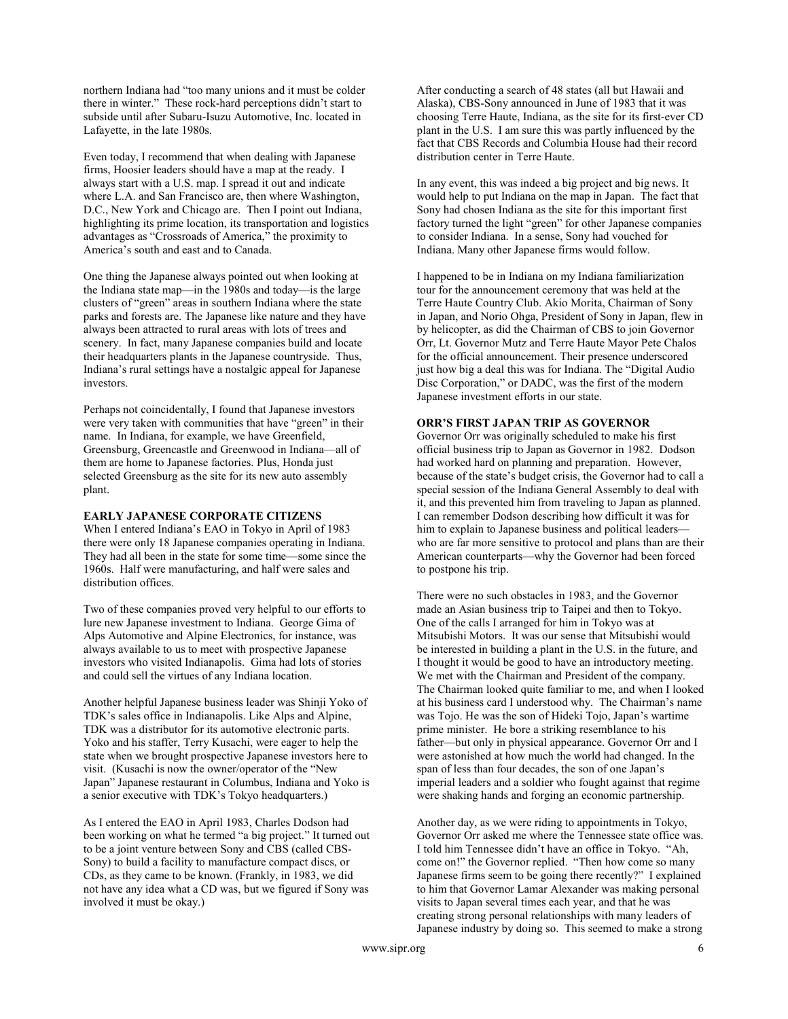northern Indiana had "too many unions and it must be colder there in winter." These rock-hard perceptions didn't start to subside until after Subaru-Isuzu Automotive, Inc. located in Lafayette, in the late 1980s.

Even today, I recommend that when dealing with Japanese firms, Hoosier leaders should have a map at the ready. I always start with a U.S. map. I spread it out and indicate where L.A. and San Francisco are, then where Washington, D.C., New York and Chicago are. Then I point out Indiana, highlighting its prime location, its transportation and logistics advantages as "Crossroads of America," the proximity to America's south and east and to Canada.

One thing the Japanese always pointed out when looking at the Indiana state map—in the 1980s and today—is the large clusters of "green" areas in southern Indiana where the state parks and forests are. The Japanese like nature and they have always been attracted to rural areas with lots of trees and scenery. In fact, many Japanese companies build and locate their headquarters plants in the Japanese countryside. Thus, Indiana's rural settings have a nostalgic appeal for Japanese investors.

Perhaps not coincidentally, I found that Japanese investors were very taken with communities that have "green" in their name. In Indiana, for example, we have Greenfield, Greensburg, Greencastle and Greenwood in Indiana—all of them are home to Japanese factories. Plus, Honda just selected Greensburg as the site for its new auto assembly plant.

#### EARLY JAPANESE CORPORATE CITIZENS

When I entered Indiana's EAO in Tokyo in April of 1983 there were only 18 Japanese companies operating in Indiana. They had all been in the state for some time—some since the 1960s. Half were manufacturing, and half were sales and distribution offices.

Two of these companies proved very helpful to our efforts to lure new Japanese investment to Indiana. George Gima of Alps Automotive and Alpine Electronics, for instance, was always available to us to meet with prospective Japanese investors who visited Indianapolis. Gima had lots of stories and could sell the virtues of any Indiana location.

Another helpful Japanese business leader was Shinji Yoko of TDK's sales office in Indianapolis. Like Alps and Alpine, TDK was a distributor for its automotive electronic parts. Yoko and his staffer, Terry Kusachi, were eager to help the state when we brought prospective Japanese investors here to visit. (Kusachi is now the owner/operator of the "New Japan" Japanese restaurant in Columbus, Indiana and Yoko is a senior executive with TDK's Tokyo headquarters.)

As I entered the EAO in April 1983, Charles Dodson had been working on what he termed "a big project." It turned out to be a joint venture between Sony and CBS (called CBS-Sony) to build a facility to manufacture compact discs, or CDs, as they came to be known. (Frankly, in 1983, we did not have any idea what a CD was, but we figured if Sony was involved it must be okay.)

After conducting a search of 48 states (all but Hawaii and Alaska), CBS-Sony announced in June of 1983 that it was choosing Terre Haute, Indiana, as the site for its first-ever CD plant in the U.S. I am sure this was partly influenced by the fact that CBS Records and Columbia House had their record distribution center in Terre Haute.

In any event, this was indeed a big project and big news. It would help to put Indiana on the map in Japan. The fact that Sony had chosen Indiana as the site for this important first factory turned the light "green" for other Japanese companies to consider Indiana. In a sense, Sony had vouched for Indiana. Many other Japanese firms would follow.

I happened to be in Indiana on my Indiana familiarization tour for the announcement ceremony that was held at the Terre Haute Country Club. Akio Morita, Chairman of Sony in Japan, and Norio Ohga, President of Sony in Japan, flew in by helicopter, as did the Chairman of CBS to join Governor Orr, Lt. Governor Mutz and Terre Haute Mayor Pete Chalos for the official announcement. Their presence underscored just how big a deal this was for Indiana. The "Digital Audio Disc Corporation," or DADC, was the first of the modern Japanese investment efforts in our state.

#### ORR'S FIRST JAPAN TRIP AS GOVERNOR

Governor Orr was originally scheduled to make his first official business trip to Japan as Governor in 1982. Dodson had worked hard on planning and preparation. However, because of the state's budget crisis, the Governor had to call a special session of the Indiana General Assembly to deal with it, and this prevented him from traveling to Japan as planned. I can remember Dodson describing how difficult it was for him to explain to Japanese business and political leaders who are far more sensitive to protocol and plans than are their American counterparts—why the Governor had been forced to postpone his trip.

There were no such obstacles in 1983, and the Governor made an Asian business trip to Taipei and then to Tokyo. One of the calls I arranged for him in Tokyo was at Mitsubishi Motors. It was our sense that Mitsubishi would be interested in building a plant in the U.S. in the future, and I thought it would be good to have an introductory meeting. We met with the Chairman and President of the company. The Chairman looked quite familiar to me, and when I looked at his business card I understood why. The Chairman's name was Tojo. He was the son of Hideki Tojo, Japan's wartime prime minister. He bore a striking resemblance to his father—but only in physical appearance. Governor Orr and I were astonished at how much the world had changed. In the span of less than four decades, the son of one Japan's imperial leaders and a soldier who fought against that regime were shaking hands and forging an economic partnership.

Another day, as we were riding to appointments in Tokyo, Governor Orr asked me where the Tennessee state office was. I told him Tennessee didn't have an office in Tokyo. "Ah, come on!" the Governor replied. "Then how come so many Japanese firms seem to be going there recently?" I explained to him that Governor Lamar Alexander was making personal visits to Japan several times each year, and that he was creating strong personal relationships with many leaders of Japanese industry by doing so. This seemed to make a strong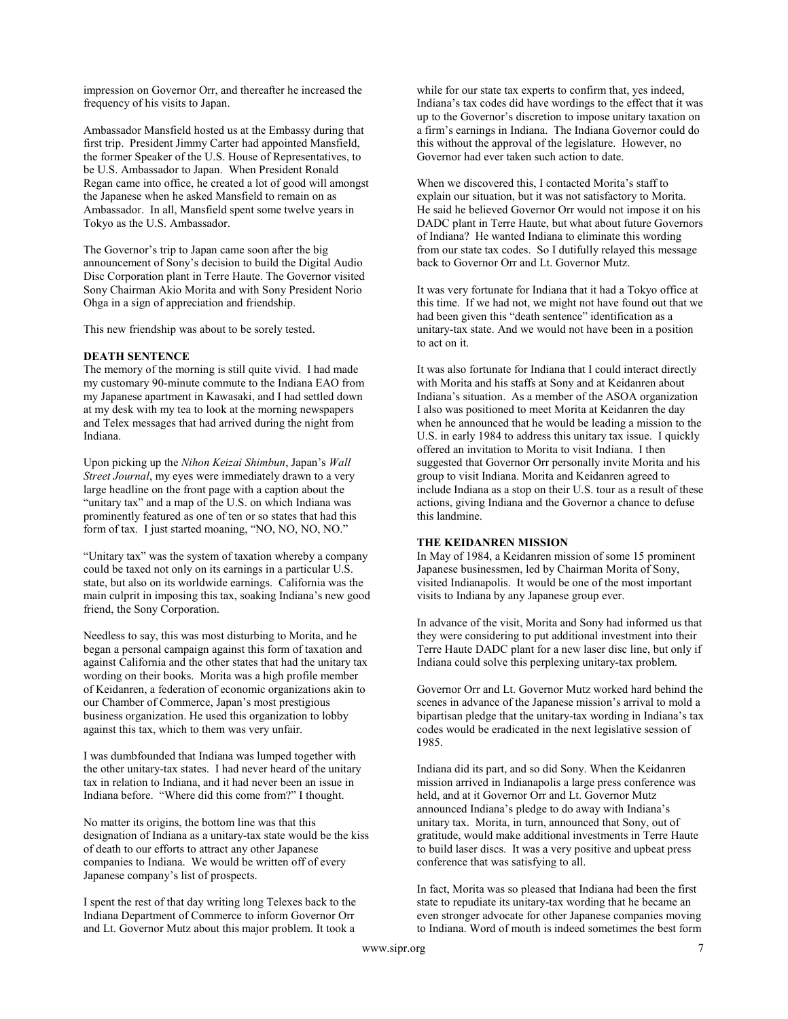impression on Governor Orr, and thereafter he increased the frequency of his visits to Japan.

Ambassador Mansfield hosted us at the Embassy during that first trip. President Jimmy Carter had appointed Mansfield, the former Speaker of the U.S. House of Representatives, to be U.S. Ambassador to Japan. When President Ronald Regan came into office, he created a lot of good will amongst the Japanese when he asked Mansfield to remain on as Ambassador. In all, Mansfield spent some twelve years in Tokyo as the U.S. Ambassador.

The Governor's trip to Japan came soon after the big announcement of Sony's decision to build the Digital Audio Disc Corporation plant in Terre Haute. The Governor visited Sony Chairman Akio Morita and with Sony President Norio Ohga in a sign of appreciation and friendship.

This new friendship was about to be sorely tested.

#### DEATH SENTENCE

The memory of the morning is still quite vivid. I had made my customary 90-minute commute to the Indiana EAO from my Japanese apartment in Kawasaki, and I had settled down at my desk with my tea to look at the morning newspapers and Telex messages that had arrived during the night from Indiana.

Upon picking up the Nihon Keizai Shimbun, Japan's Wall Street Journal, my eyes were immediately drawn to a very large headline on the front page with a caption about the "unitary tax" and a map of the U.S. on which Indiana was prominently featured as one of ten or so states that had this form of tax. I just started moaning, "NO, NO, NO, NO."

"Unitary tax" was the system of taxation whereby a company could be taxed not only on its earnings in a particular U.S. state, but also on its worldwide earnings. California was the main culprit in imposing this tax, soaking Indiana's new good friend, the Sony Corporation.

Needless to say, this was most disturbing to Morita, and he began a personal campaign against this form of taxation and against California and the other states that had the unitary tax wording on their books. Morita was a high profile member of Keidanren, a federation of economic organizations akin to our Chamber of Commerce, Japan's most prestigious business organization. He used this organization to lobby against this tax, which to them was very unfair.

I was dumbfounded that Indiana was lumped together with the other unitary-tax states. I had never heard of the unitary tax in relation to Indiana, and it had never been an issue in Indiana before. "Where did this come from?" I thought.

No matter its origins, the bottom line was that this designation of Indiana as a unitary-tax state would be the kiss of death to our efforts to attract any other Japanese companies to Indiana. We would be written off of every Japanese company's list of prospects.

I spent the rest of that day writing long Telexes back to the Indiana Department of Commerce to inform Governor Orr and Lt. Governor Mutz about this major problem. It took a

while for our state tax experts to confirm that, yes indeed, Indiana's tax codes did have wordings to the effect that it was up to the Governor's discretion to impose unitary taxation on a firm's earnings in Indiana. The Indiana Governor could do this without the approval of the legislature. However, no Governor had ever taken such action to date.

When we discovered this, I contacted Morita's staff to explain our situation, but it was not satisfactory to Morita. He said he believed Governor Orr would not impose it on his DADC plant in Terre Haute, but what about future Governors of Indiana? He wanted Indiana to eliminate this wording from our state tax codes. So I dutifully relayed this message back to Governor Orr and Lt. Governor Mutz.

It was very fortunate for Indiana that it had a Tokyo office at this time. If we had not, we might not have found out that we had been given this "death sentence" identification as a unitary-tax state. And we would not have been in a position to act on it.

It was also fortunate for Indiana that I could interact directly with Morita and his staffs at Sony and at Keidanren about Indiana's situation. As a member of the ASOA organization I also was positioned to meet Morita at Keidanren the day when he announced that he would be leading a mission to the U.S. in early 1984 to address this unitary tax issue. I quickly offered an invitation to Morita to visit Indiana. I then suggested that Governor Orr personally invite Morita and his group to visit Indiana. Morita and Keidanren agreed to include Indiana as a stop on their U.S. tour as a result of these actions, giving Indiana and the Governor a chance to defuse this landmine.

#### THE KEIDANREN MISSION

In May of 1984, a Keidanren mission of some 15 prominent Japanese businessmen, led by Chairman Morita of Sony, visited Indianapolis. It would be one of the most important visits to Indiana by any Japanese group ever.

In advance of the visit, Morita and Sony had informed us that they were considering to put additional investment into their Terre Haute DADC plant for a new laser disc line, but only if Indiana could solve this perplexing unitary-tax problem.

Governor Orr and Lt. Governor Mutz worked hard behind the scenes in advance of the Japanese mission's arrival to mold a bipartisan pledge that the unitary-tax wording in Indiana's tax codes would be eradicated in the next legislative session of 1985.

Indiana did its part, and so did Sony. When the Keidanren mission arrived in Indianapolis a large press conference was held, and at it Governor Orr and Lt. Governor Mutz announced Indiana's pledge to do away with Indiana's unitary tax. Morita, in turn, announced that Sony, out of gratitude, would make additional investments in Terre Haute to build laser discs. It was a very positive and upbeat press conference that was satisfying to all.

In fact, Morita was so pleased that Indiana had been the first state to repudiate its unitary-tax wording that he became an even stronger advocate for other Japanese companies moving to Indiana. Word of mouth is indeed sometimes the best form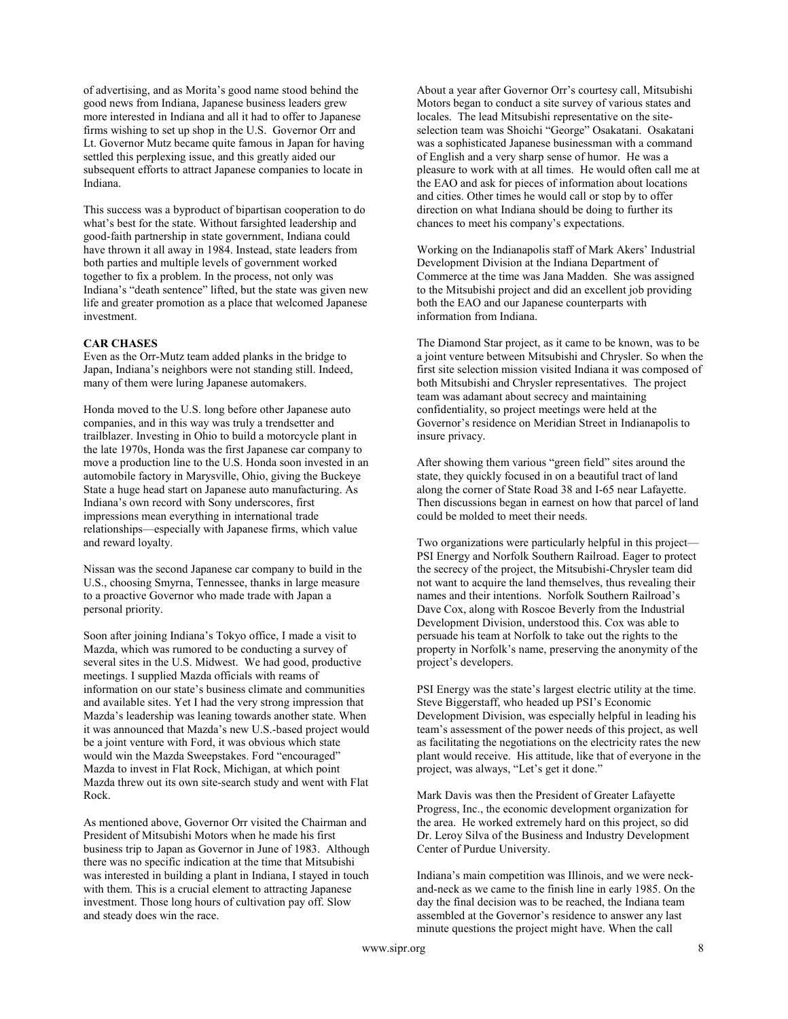of advertising, and as Morita's good name stood behind the good news from Indiana, Japanese business leaders grew more interested in Indiana and all it had to offer to Japanese firms wishing to set up shop in the U.S. Governor Orr and Lt. Governor Mutz became quite famous in Japan for having settled this perplexing issue, and this greatly aided our subsequent efforts to attract Japanese companies to locate in Indiana.

This success was a byproduct of bipartisan cooperation to do what's best for the state. Without farsighted leadership and good-faith partnership in state government, Indiana could have thrown it all away in 1984. Instead, state leaders from both parties and multiple levels of government worked together to fix a problem. In the process, not only was Indiana's "death sentence" lifted, but the state was given new life and greater promotion as a place that welcomed Japanese investment.

#### CAR CHASES

Even as the Orr-Mutz team added planks in the bridge to Japan, Indiana's neighbors were not standing still. Indeed, many of them were luring Japanese automakers.

Honda moved to the U.S. long before other Japanese auto companies, and in this way was truly a trendsetter and trailblazer. Investing in Ohio to build a motorcycle plant in the late 1970s, Honda was the first Japanese car company to move a production line to the U.S. Honda soon invested in an automobile factory in Marysville, Ohio, giving the Buckeye State a huge head start on Japanese auto manufacturing. As Indiana's own record with Sony underscores, first impressions mean everything in international trade relationships—especially with Japanese firms, which value and reward loyalty.

Nissan was the second Japanese car company to build in the U.S., choosing Smyrna, Tennessee, thanks in large measure to a proactive Governor who made trade with Japan a personal priority.

Soon after joining Indiana's Tokyo office, I made a visit to Mazda, which was rumored to be conducting a survey of several sites in the U.S. Midwest. We had good, productive meetings. I supplied Mazda officials with reams of information on our state's business climate and communities and available sites. Yet I had the very strong impression that Mazda's leadership was leaning towards another state. When it was announced that Mazda's new U.S.-based project would be a joint venture with Ford, it was obvious which state would win the Mazda Sweepstakes. Ford "encouraged" Mazda to invest in Flat Rock, Michigan, at which point Mazda threw out its own site-search study and went with Flat Rock.

As mentioned above, Governor Orr visited the Chairman and President of Mitsubishi Motors when he made his first business trip to Japan as Governor in June of 1983. Although there was no specific indication at the time that Mitsubishi was interested in building a plant in Indiana, I stayed in touch with them. This is a crucial element to attracting Japanese investment. Those long hours of cultivation pay off. Slow and steady does win the race.

About a year after Governor Orr's courtesy call, Mitsubishi Motors began to conduct a site survey of various states and locales. The lead Mitsubishi representative on the siteselection team was Shoichi "George" Osakatani. Osakatani was a sophisticated Japanese businessman with a command of English and a very sharp sense of humor. He was a pleasure to work with at all times. He would often call me at the EAO and ask for pieces of information about locations and cities. Other times he would call or stop by to offer direction on what Indiana should be doing to further its chances to meet his company's expectations.

Working on the Indianapolis staff of Mark Akers' Industrial Development Division at the Indiana Department of Commerce at the time was Jana Madden. She was assigned to the Mitsubishi project and did an excellent job providing both the EAO and our Japanese counterparts with information from Indiana.

The Diamond Star project, as it came to be known, was to be a joint venture between Mitsubishi and Chrysler. So when the first site selection mission visited Indiana it was composed of both Mitsubishi and Chrysler representatives. The project team was adamant about secrecy and maintaining confidentiality, so project meetings were held at the Governor's residence on Meridian Street in Indianapolis to insure privacy.

After showing them various "green field" sites around the state, they quickly focused in on a beautiful tract of land along the corner of State Road 38 and I-65 near Lafayette. Then discussions began in earnest on how that parcel of land could be molded to meet their needs.

Two organizations were particularly helpful in this project— PSI Energy and Norfolk Southern Railroad. Eager to protect the secrecy of the project, the Mitsubishi-Chrysler team did not want to acquire the land themselves, thus revealing their names and their intentions. Norfolk Southern Railroad's Dave Cox, along with Roscoe Beverly from the Industrial Development Division, understood this. Cox was able to persuade his team at Norfolk to take out the rights to the property in Norfolk's name, preserving the anonymity of the project's developers.

PSI Energy was the state's largest electric utility at the time. Steve Biggerstaff, who headed up PSI's Economic Development Division, was especially helpful in leading his team's assessment of the power needs of this project, as well as facilitating the negotiations on the electricity rates the new plant would receive. His attitude, like that of everyone in the project, was always, "Let's get it done."

Mark Davis was then the President of Greater Lafayette Progress, Inc., the economic development organization for the area. He worked extremely hard on this project, so did Dr. Leroy Silva of the Business and Industry Development Center of Purdue University.

Indiana's main competition was Illinois, and we were neckand-neck as we came to the finish line in early 1985. On the day the final decision was to be reached, the Indiana team assembled at the Governor's residence to answer any last minute questions the project might have. When the call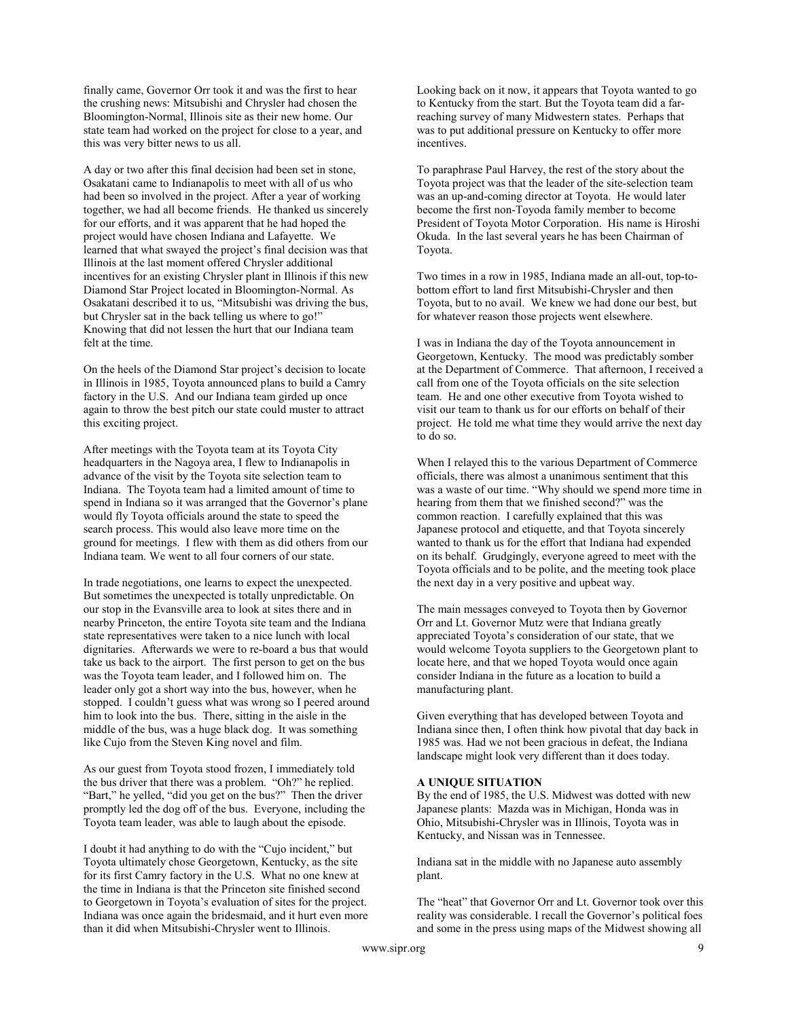finally came, Governor Orr took it and was the first to hear the crushing news: Mitsubishi and Chrysler had chosen the Bloomington-Normal, Illinois site as their new home. Our state team had worked on the project for close to a year, and this was very bitter news to us all.

A day or two after this final decision had been set in stone, Osakatani came to Indianapolis to meet with all of us who had been so involved in the project. After a year of working together, we had all become friends. He thanked us sincerely for our efforts, and it was apparent that he had hoped the project would have chosen Indiana and Lafayette. We learned that what swayed the project's final decision was that Illinois at the last moment offered Chrysler additional incentives for an existing Chrysler plant in Illinois if this new Diamond Star Project located in Bloomington-Normal. As Osakatani described it to us, "Mitsubishi was driving the bus, but Chrysler sat in the back telling us where to go!" Knowing that did not lessen the hurt that our Indiana team felt at the time.

On the heels of the Diamond Star project's decision to locate in Illinois in 1985, Toyota announced plans to build a Camry factory in the U.S. And our Indiana team girded up once again to throw the best pitch our state could muster to attract this exciting project.

After meetings with the Toyota team at its Toyota City headquarters in the Nagoya area, I flew to Indianapolis in advance of the visit by the Toyota site selection team to Indiana. The Toyota team had a limited amount of time to spend in Indiana so it was arranged that the Governor's plane would fly Toyota officials around the state to speed the search process. This would also leave more time on the ground for meetings. I flew with them as did others from our Indiana team. We went to all four corners of our state.

In trade negotiations, one learns to expect the unexpected. But sometimes the unexpected is totally unpredictable. On our stop in the Evansville area to look at sites there and in nearby Princeton, the entire Toyota site team and the Indiana state representatives were taken to a nice lunch with local dignitaries. Afterwards we were to re-board a bus that would take us back to the airport. The first person to get on the bus was the Toyota team leader, and I followed him on. The leader only got a short way into the bus, however, when he stopped. I couldn't guess what was wrong so I peered around him to look into the bus. There, sitting in the aisle in the middle of the bus, was a huge black dog. It was something like Cujo from the Steven King novel and film.

As our guest from Toyota stood frozen, I immediately told the bus driver that there was a problem. "Oh?" he replied. "Bart," he yelled, "did you get on the bus?" Then the driver promptly led the dog off of the bus. Everyone, including the Toyota team leader, was able to laugh about the episode.

I doubt it had anything to do with the "Cujo incident," but Toyota ultimately chose Georgetown, Kentucky, as the site for its first Camry factory in the U.S. What no one knew at the time in Indiana is that the Princeton site finished second to Georgetown in Toyota's evaluation of sites for the project. Indiana was once again the bridesmaid, and it hurt even more than it did when Mitsubishi-Chrysler went to Illinois.

Looking back on it now, it appears that Toyota wanted to go to Kentucky from the start. But the Toyota team did a farreaching survey of many Midwestern states. Perhaps that was to put additional pressure on Kentucky to offer more incentives.

To paraphrase Paul Harvey, the rest of the story about the Toyota project was that the leader of the site-selection team was an up-and-coming director at Toyota. He would later become the first non-Toyoda family member to become President of Toyota Motor Corporation. His name is Hiroshi Okuda. In the last several years he has been Chairman of Toyota.

Two times in a row in 1985, Indiana made an all-out, top-tobottom effort to land first Mitsubishi-Chrysler and then Toyota, but to no avail. We knew we had done our best, but for whatever reason those projects went elsewhere.

I was in Indiana the day of the Toyota announcement in Georgetown, Kentucky. The mood was predictably somber at the Department of Commerce. That afternoon, I received a call from one of the Toyota officials on the site selection team. He and one other executive from Toyota wished to visit our team to thank us for our efforts on behalf of their project. He told me what time they would arrive the next day to do so.

When I relayed this to the various Department of Commerce officials, there was almost a unanimous sentiment that this was a waste of our time. "Why should we spend more time in hearing from them that we finished second?" was the common reaction. I carefully explained that this was Japanese protocol and etiquette, and that Toyota sincerely wanted to thank us for the effort that Indiana had expended on its behalf. Grudgingly, everyone agreed to meet with the Toyota officials and to be polite, and the meeting took place the next day in a very positive and upbeat way.

The main messages conveyed to Toyota then by Governor Orr and Lt. Governor Mutz were that Indiana greatly appreciated Toyota's consideration of our state, that we would welcome Toyota suppliers to the Georgetown plant to locate here, and that we hoped Toyota would once again consider Indiana in the future as a location to build a manufacturing plant.

Given everything that has developed between Toyota and Indiana since then, I often think how pivotal that day back in 1985 was. Had we not been gracious in defeat, the Indiana landscape might look very different than it does today.

## A UNIQUE SITUATION

By the end of 1985, the U.S. Midwest was dotted with new Japanese plants: Mazda was in Michigan, Honda was in Ohio, Mitsubishi-Chrysler was in Illinois, Toyota was in Kentucky, and Nissan was in Tennessee.

Indiana sat in the middle with no Japanese auto assembly plant.

The "heat" that Governor Orr and Lt. Governor took over this reality was considerable. I recall the Governor's political foes and some in the press using maps of the Midwest showing all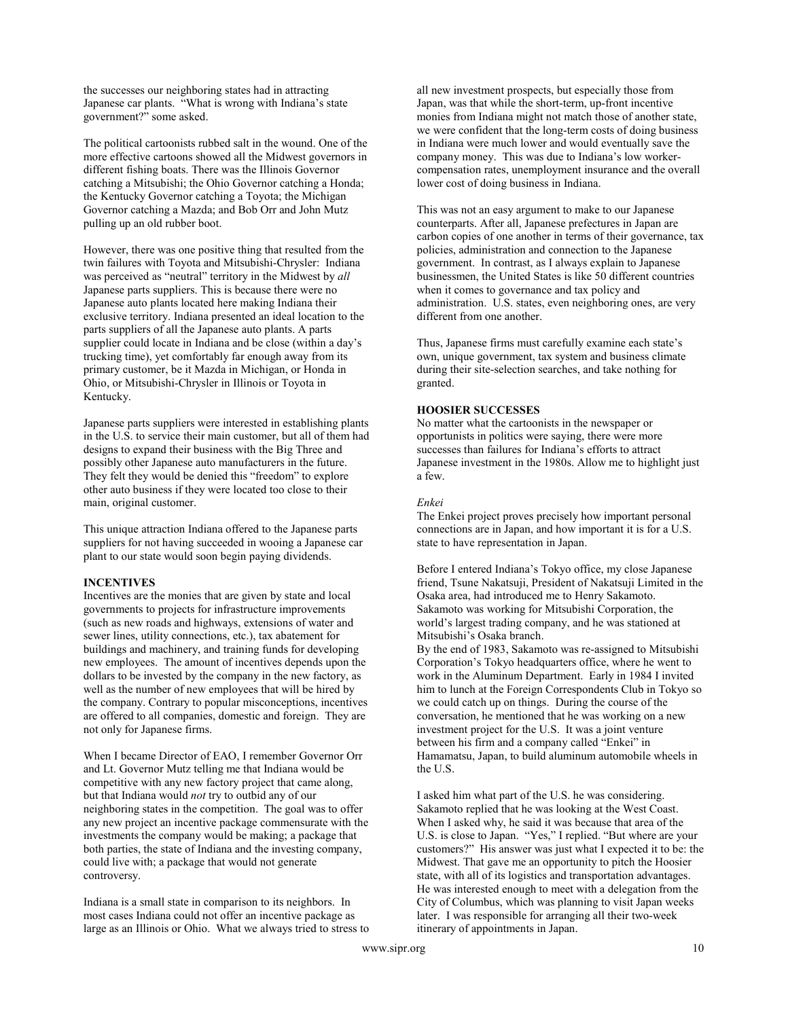the successes our neighboring states had in attracting Japanese car plants. "What is wrong with Indiana's state government?" some asked.

The political cartoonists rubbed salt in the wound. One of the more effective cartoons showed all the Midwest governors in different fishing boats. There was the Illinois Governor catching a Mitsubishi; the Ohio Governor catching a Honda; the Kentucky Governor catching a Toyota; the Michigan Governor catching a Mazda; and Bob Orr and John Mutz pulling up an old rubber boot.

However, there was one positive thing that resulted from the twin failures with Toyota and Mitsubishi-Chrysler: Indiana was perceived as "neutral" territory in the Midwest by all Japanese parts suppliers. This is because there were no Japanese auto plants located here making Indiana their exclusive territory. Indiana presented an ideal location to the parts suppliers of all the Japanese auto plants. A parts supplier could locate in Indiana and be close (within a day's trucking time), yet comfortably far enough away from its primary customer, be it Mazda in Michigan, or Honda in Ohio, or Mitsubishi-Chrysler in Illinois or Toyota in Kentucky.

Japanese parts suppliers were interested in establishing plants in the U.S. to service their main customer, but all of them had designs to expand their business with the Big Three and possibly other Japanese auto manufacturers in the future. They felt they would be denied this "freedom" to explore other auto business if they were located too close to their main, original customer.

This unique attraction Indiana offered to the Japanese parts suppliers for not having succeeded in wooing a Japanese car plant to our state would soon begin paying dividends.

# INCENTIVES

Incentives are the monies that are given by state and local governments to projects for infrastructure improvements (such as new roads and highways, extensions of water and sewer lines, utility connections, etc.), tax abatement for buildings and machinery, and training funds for developing new employees. The amount of incentives depends upon the dollars to be invested by the company in the new factory, as well as the number of new employees that will be hired by the company. Contrary to popular misconceptions, incentives are offered to all companies, domestic and foreign. They are not only for Japanese firms.

When I became Director of EAO, I remember Governor Orr and Lt. Governor Mutz telling me that Indiana would be competitive with any new factory project that came along, but that Indiana would not try to outbid any of our neighboring states in the competition. The goal was to offer any new project an incentive package commensurate with the investments the company would be making; a package that both parties, the state of Indiana and the investing company, could live with; a package that would not generate controversy.

Indiana is a small state in comparison to its neighbors. In most cases Indiana could not offer an incentive package as large as an Illinois or Ohio. What we always tried to stress to all new investment prospects, but especially those from Japan, was that while the short-term, up-front incentive monies from Indiana might not match those of another state, we were confident that the long-term costs of doing business in Indiana were much lower and would eventually save the company money. This was due to Indiana's low workercompensation rates, unemployment insurance and the overall lower cost of doing business in Indiana.

This was not an easy argument to make to our Japanese counterparts. After all, Japanese prefectures in Japan are carbon copies of one another in terms of their governance, tax policies, administration and connection to the Japanese government. In contrast, as I always explain to Japanese businessmen, the United States is like 50 different countries when it comes to governance and tax policy and administration. U.S. states, even neighboring ones, are very different from one another.

Thus, Japanese firms must carefully examine each state's own, unique government, tax system and business climate during their site-selection searches, and take nothing for granted.

# HOOSIER SUCCESSES

No matter what the cartoonists in the newspaper or opportunists in politics were saying, there were more successes than failures for Indiana's efforts to attract Japanese investment in the 1980s. Allow me to highlight just a few.

# Enkei

The Enkei project proves precisely how important personal connections are in Japan, and how important it is for a U.S. state to have representation in Japan.

Before I entered Indiana's Tokyo office, my close Japanese friend, Tsune Nakatsuji, President of Nakatsuji Limited in the Osaka area, had introduced me to Henry Sakamoto. Sakamoto was working for Mitsubishi Corporation, the world's largest trading company, and he was stationed at Mitsubishi's Osaka branch.

By the end of 1983, Sakamoto was re-assigned to Mitsubishi Corporation's Tokyo headquarters office, where he went to work in the Aluminum Department. Early in 1984 I invited him to lunch at the Foreign Correspondents Club in Tokyo so we could catch up on things. During the course of the conversation, he mentioned that he was working on a new investment project for the U.S. It was a joint venture between his firm and a company called "Enkei" in Hamamatsu, Japan, to build aluminum automobile wheels in the U.S.

I asked him what part of the U.S. he was considering. Sakamoto replied that he was looking at the West Coast. When I asked why, he said it was because that area of the U.S. is close to Japan. "Yes," I replied. "But where are your customers?" His answer was just what I expected it to be: the Midwest. That gave me an opportunity to pitch the Hoosier state, with all of its logistics and transportation advantages. He was interested enough to meet with a delegation from the City of Columbus, which was planning to visit Japan weeks later. I was responsible for arranging all their two-week itinerary of appointments in Japan.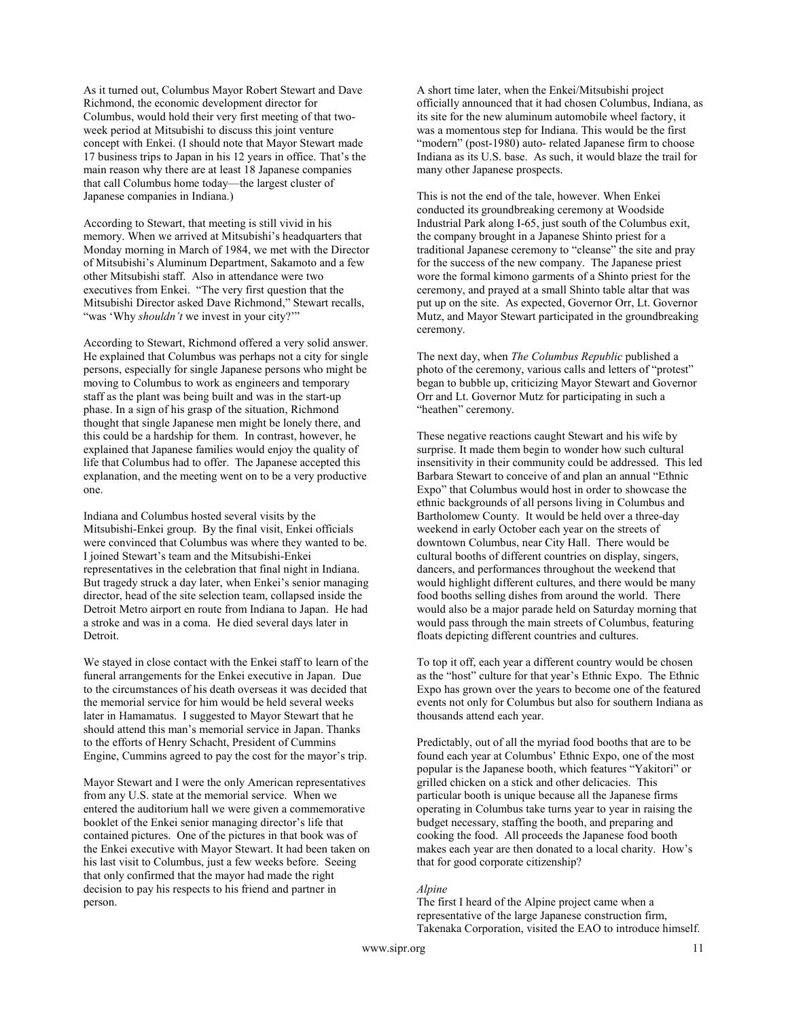As it turned out, Columbus Mayor Robert Stewart and Dave Richmond, the economic development director for Columbus, would hold their very first meeting of that twoweek period at Mitsubishi to discuss this joint venture concept with Enkei. (I should note that Mayor Stewart made 17 business trips to Japan in his 12 years in office. That's the main reason why there are at least 18 Japanese companies that call Columbus home today—the largest cluster of Japanese companies in Indiana.)

According to Stewart, that meeting is still vivid in his memory. When we arrived at Mitsubishi's headquarters that Monday morning in March of 1984, we met with the Director of Mitsubishi's Aluminum Department, Sakamoto and a few other Mitsubishi staff. Also in attendance were two executives from Enkei. "The very first question that the Mitsubishi Director asked Dave Richmond," Stewart recalls, "was 'Why *shouldn't* we invest in your city?""

According to Stewart, Richmond offered a very solid answer. He explained that Columbus was perhaps not a city for single persons, especially for single Japanese persons who might be moving to Columbus to work as engineers and temporary staff as the plant was being built and was in the start-up phase. In a sign of his grasp of the situation, Richmond thought that single Japanese men might be lonely there, and this could be a hardship for them. In contrast, however, he explained that Japanese families would enjoy the quality of life that Columbus had to offer. The Japanese accepted this explanation, and the meeting went on to be a very productive one.

Indiana and Columbus hosted several visits by the Mitsubishi-Enkei group. By the final visit, Enkei officials were convinced that Columbus was where they wanted to be. I joined Stewart's team and the Mitsubishi-Enkei representatives in the celebration that final night in Indiana. But tragedy struck a day later, when Enkei's senior managing director, head of the site selection team, collapsed inside the Detroit Metro airport en route from Indiana to Japan. He had a stroke and was in a coma. He died several days later in Detroit.

We stayed in close contact with the Enkei staff to learn of the funeral arrangements for the Enkei executive in Japan. Due to the circumstances of his death overseas it was decided that the memorial service for him would be held several weeks later in Hamamatus. I suggested to Mayor Stewart that he should attend this man's memorial service in Japan. Thanks to the efforts of Henry Schacht, President of Cummins Engine, Cummins agreed to pay the cost for the mayor's trip.

Mayor Stewart and I were the only American representatives from any U.S. state at the memorial service. When we entered the auditorium hall we were given a commemorative booklet of the Enkei senior managing director's life that contained pictures. One of the pictures in that book was of the Enkei executive with Mayor Stewart. It had been taken on his last visit to Columbus, just a few weeks before. Seeing that only confirmed that the mayor had made the right decision to pay his respects to his friend and partner in person.

A short time later, when the Enkei/Mitsubishi project officially announced that it had chosen Columbus, Indiana, as its site for the new aluminum automobile wheel factory, it was a momentous step for Indiana. This would be the first "modern" (post-1980) auto- related Japanese firm to choose Indiana as its U.S. base. As such, it would blaze the trail for many other Japanese prospects.

This is not the end of the tale, however. When Enkei conducted its groundbreaking ceremony at Woodside Industrial Park along I-65, just south of the Columbus exit, the company brought in a Japanese Shinto priest for a traditional Japanese ceremony to "cleanse" the site and pray for the success of the new company. The Japanese priest wore the formal kimono garments of a Shinto priest for the ceremony, and prayed at a small Shinto table altar that was put up on the site. As expected, Governor Orr, Lt. Governor Mutz, and Mayor Stewart participated in the groundbreaking ceremony.

The next day, when The Columbus Republic published a photo of the ceremony, various calls and letters of "protest" began to bubble up, criticizing Mayor Stewart and Governor Orr and Lt. Governor Mutz for participating in such a "heathen" ceremony.

These negative reactions caught Stewart and his wife by surprise. It made them begin to wonder how such cultural insensitivity in their community could be addressed. This led Barbara Stewart to conceive of and plan an annual "Ethnic Expo" that Columbus would host in order to showcase the ethnic backgrounds of all persons living in Columbus and Bartholomew County. It would be held over a three-day weekend in early October each year on the streets of downtown Columbus, near City Hall. There would be cultural booths of different countries on display, singers, dancers, and performances throughout the weekend that would highlight different cultures, and there would be many food booths selling dishes from around the world. There would also be a major parade held on Saturday morning that would pass through the main streets of Columbus, featuring floats depicting different countries and cultures.

To top it off, each year a different country would be chosen as the "host" culture for that year's Ethnic Expo. The Ethnic Expo has grown over the years to become one of the featured events not only for Columbus but also for southern Indiana as thousands attend each year.

Predictably, out of all the myriad food booths that are to be found each year at Columbus' Ethnic Expo, one of the most popular is the Japanese booth, which features "Yakitori" or grilled chicken on a stick and other delicacies. This particular booth is unique because all the Japanese firms operating in Columbus take turns year to year in raising the budget necessary, staffing the booth, and preparing and cooking the food. All proceeds the Japanese food booth makes each year are then donated to a local charity. How's that for good corporate citizenship?

#### Alpine

The first I heard of the Alpine project came when a representative of the large Japanese construction firm, Takenaka Corporation, visited the EAO to introduce himself.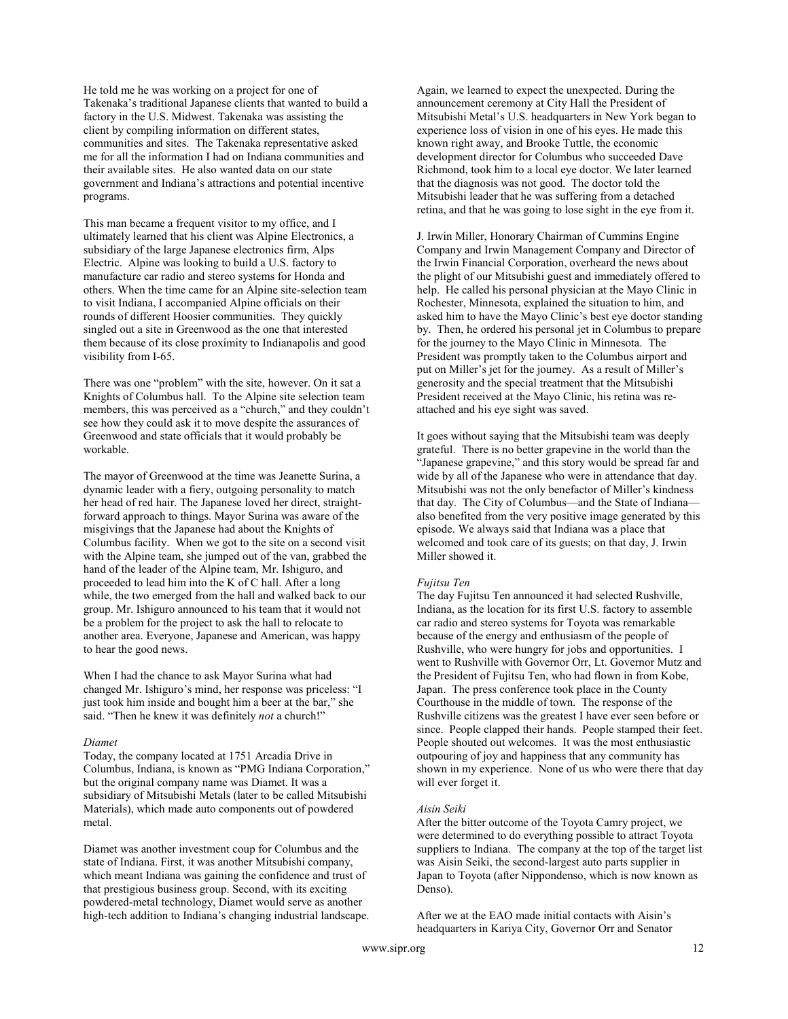He told me he was working on a project for one of Takenaka's traditional Japanese clients that wanted to build a factory in the U.S. Midwest. Takenaka was assisting the client by compiling information on different states, communities and sites. The Takenaka representative asked me for all the information I had on Indiana communities and their available sites. He also wanted data on our state government and Indiana's attractions and potential incentive programs.

This man became a frequent visitor to my office, and I ultimately learned that his client was Alpine Electronics, a subsidiary of the large Japanese electronics firm, Alps Electric. Alpine was looking to build a U.S. factory to manufacture car radio and stereo systems for Honda and others. When the time came for an Alpine site-selection team to visit Indiana, I accompanied Alpine officials on their rounds of different Hoosier communities. They quickly singled out a site in Greenwood as the one that interested them because of its close proximity to Indianapolis and good visibility from I-65.

There was one "problem" with the site, however. On it sat a Knights of Columbus hall. To the Alpine site selection team members, this was perceived as a "church," and they couldn't see how they could ask it to move despite the assurances of Greenwood and state officials that it would probably be workable.

The mayor of Greenwood at the time was Jeanette Surina, a dynamic leader with a fiery, outgoing personality to match her head of red hair. The Japanese loved her direct, straightforward approach to things. Mayor Surina was aware of the misgivings that the Japanese had about the Knights of Columbus facility. When we got to the site on a second visit with the Alpine team, she jumped out of the van, grabbed the hand of the leader of the Alpine team, Mr. Ishiguro, and proceeded to lead him into the K of C hall. After a long while, the two emerged from the hall and walked back to our group. Mr. Ishiguro announced to his team that it would not be a problem for the project to ask the hall to relocate to another area. Everyone, Japanese and American, was happy to hear the good news.

When I had the chance to ask Mayor Surina what had changed Mr. Ishiguro's mind, her response was priceless: "I just took him inside and bought him a beer at the bar," she said. "Then he knew it was definitely not a church!"

#### Diamet

Today, the company located at 1751 Arcadia Drive in Columbus, Indiana, is known as "PMG Indiana Corporation," but the original company name was Diamet. It was a subsidiary of Mitsubishi Metals (later to be called Mitsubishi Materials), which made auto components out of powdered metal.

Diamet was another investment coup for Columbus and the state of Indiana. First, it was another Mitsubishi company, which meant Indiana was gaining the confidence and trust of that prestigious business group. Second, with its exciting powdered-metal technology, Diamet would serve as another high-tech addition to Indiana's changing industrial landscape.

Again, we learned to expect the unexpected. During the announcement ceremony at City Hall the President of Mitsubishi Metal's U.S. headquarters in New York began to experience loss of vision in one of his eyes. He made this known right away, and Brooke Tuttle, the economic development director for Columbus who succeeded Dave Richmond, took him to a local eye doctor. We later learned that the diagnosis was not good. The doctor told the Mitsubishi leader that he was suffering from a detached retina, and that he was going to lose sight in the eye from it.

J. Irwin Miller, Honorary Chairman of Cummins Engine Company and Irwin Management Company and Director of the Irwin Financial Corporation, overheard the news about the plight of our Mitsubishi guest and immediately offered to help. He called his personal physician at the Mayo Clinic in Rochester, Minnesota, explained the situation to him, and asked him to have the Mayo Clinic's best eye doctor standing by. Then, he ordered his personal jet in Columbus to prepare for the journey to the Mayo Clinic in Minnesota. The President was promptly taken to the Columbus airport and put on Miller's jet for the journey. As a result of Miller's generosity and the special treatment that the Mitsubishi President received at the Mayo Clinic, his retina was reattached and his eye sight was saved.

It goes without saying that the Mitsubishi team was deeply grateful. There is no better grapevine in the world than the "Japanese grapevine," and this story would be spread far and wide by all of the Japanese who were in attendance that day. Mitsubishi was not the only benefactor of Miller's kindness that day. The City of Columbus—and the State of Indiana also benefited from the very positive image generated by this episode. We always said that Indiana was a place that welcomed and took care of its guests; on that day, J. Irwin Miller showed it.

#### Fujitsu Ten

The day Fujitsu Ten announced it had selected Rushville, Indiana, as the location for its first U.S. factory to assemble car radio and stereo systems for Toyota was remarkable because of the energy and enthusiasm of the people of Rushville, who were hungry for jobs and opportunities. I went to Rushville with Governor Orr, Lt. Governor Mutz and the President of Fujitsu Ten, who had flown in from Kobe, Japan. The press conference took place in the County Courthouse in the middle of town. The response of the Rushville citizens was the greatest I have ever seen before or since. People clapped their hands. People stamped their feet. People shouted out welcomes. It was the most enthusiastic outpouring of joy and happiness that any community has shown in my experience. None of us who were there that day will ever forget it.

#### Aisin Seiki

After the bitter outcome of the Toyota Camry project, we were determined to do everything possible to attract Toyota suppliers to Indiana. The company at the top of the target list was Aisin Seiki, the second-largest auto parts supplier in Japan to Toyota (after Nippondenso, which is now known as Denso).

After we at the EAO made initial contacts with Aisin's headquarters in Kariya City, Governor Orr and Senator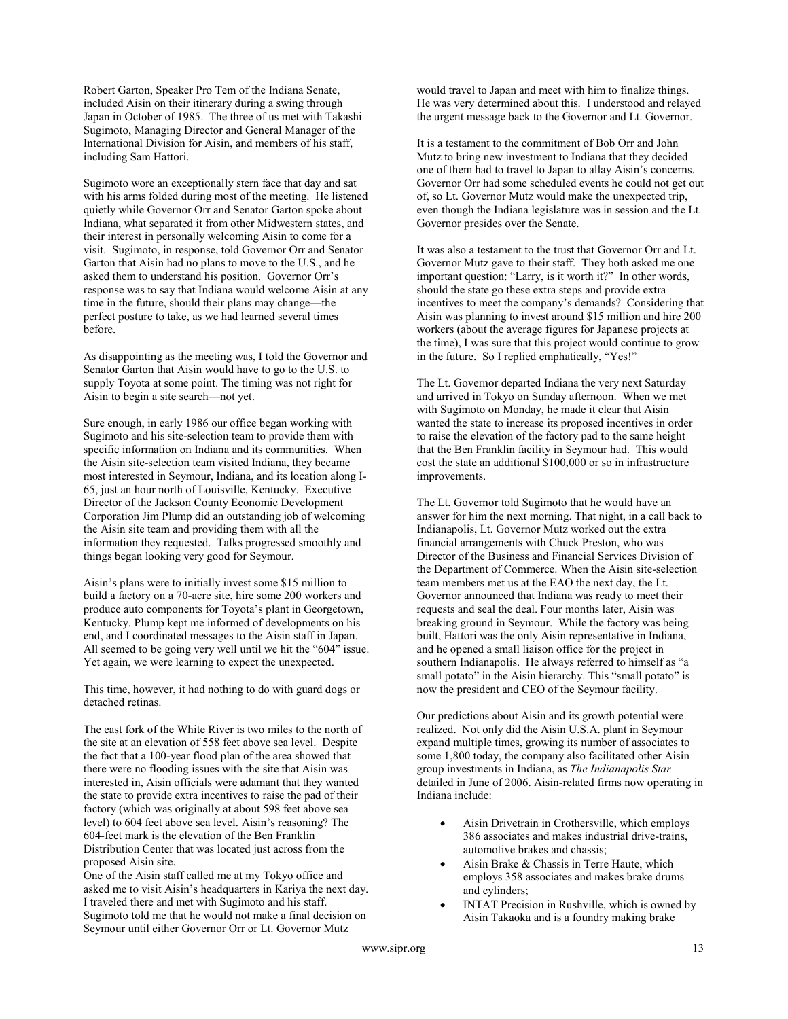Robert Garton, Speaker Pro Tem of the Indiana Senate, included Aisin on their itinerary during a swing through Japan in October of 1985. The three of us met with Takashi Sugimoto, Managing Director and General Manager of the International Division for Aisin, and members of his staff, including Sam Hattori.

Sugimoto wore an exceptionally stern face that day and sat with his arms folded during most of the meeting. He listened quietly while Governor Orr and Senator Garton spoke about Indiana, what separated it from other Midwestern states, and their interest in personally welcoming Aisin to come for a visit. Sugimoto, in response, told Governor Orr and Senator Garton that Aisin had no plans to move to the U.S., and he asked them to understand his position. Governor Orr's response was to say that Indiana would welcome Aisin at any time in the future, should their plans may change—the perfect posture to take, as we had learned several times before.

As disappointing as the meeting was, I told the Governor and Senator Garton that Aisin would have to go to the U.S. to supply Toyota at some point. The timing was not right for Aisin to begin a site search—not yet.

Sure enough, in early 1986 our office began working with Sugimoto and his site-selection team to provide them with specific information on Indiana and its communities. When the Aisin site-selection team visited Indiana, they became most interested in Seymour, Indiana, and its location along I-65, just an hour north of Louisville, Kentucky. Executive Director of the Jackson County Economic Development Corporation Jim Plump did an outstanding job of welcoming the Aisin site team and providing them with all the information they requested. Talks progressed smoothly and things began looking very good for Seymour.

Aisin's plans were to initially invest some \$15 million to build a factory on a 70-acre site, hire some 200 workers and produce auto components for Toyota's plant in Georgetown, Kentucky. Plump kept me informed of developments on his end, and I coordinated messages to the Aisin staff in Japan. All seemed to be going very well until we hit the "604" issue. Yet again, we were learning to expect the unexpected.

This time, however, it had nothing to do with guard dogs or detached retinas.

The east fork of the White River is two miles to the north of the site at an elevation of 558 feet above sea level. Despite the fact that a 100-year flood plan of the area showed that there were no flooding issues with the site that Aisin was interested in, Aisin officials were adamant that they wanted the state to provide extra incentives to raise the pad of their factory (which was originally at about 598 feet above sea level) to 604 feet above sea level. Aisin's reasoning? The 604-feet mark is the elevation of the Ben Franklin Distribution Center that was located just across from the proposed Aisin site.

One of the Aisin staff called me at my Tokyo office and asked me to visit Aisin's headquarters in Kariya the next day. I traveled there and met with Sugimoto and his staff. Sugimoto told me that he would not make a final decision on Seymour until either Governor Orr or Lt. Governor Mutz

would travel to Japan and meet with him to finalize things. He was very determined about this. I understood and relayed the urgent message back to the Governor and Lt. Governor.

It is a testament to the commitment of Bob Orr and John Mutz to bring new investment to Indiana that they decided one of them had to travel to Japan to allay Aisin's concerns. Governor Orr had some scheduled events he could not get out of, so Lt. Governor Mutz would make the unexpected trip, even though the Indiana legislature was in session and the Lt. Governor presides over the Senate.

It was also a testament to the trust that Governor Orr and Lt. Governor Mutz gave to their staff. They both asked me one important question: "Larry, is it worth it?" In other words, should the state go these extra steps and provide extra incentives to meet the company's demands? Considering that Aisin was planning to invest around \$15 million and hire 200 workers (about the average figures for Japanese projects at the time), I was sure that this project would continue to grow in the future. So I replied emphatically, "Yes!"

The Lt. Governor departed Indiana the very next Saturday and arrived in Tokyo on Sunday afternoon. When we met with Sugimoto on Monday, he made it clear that Aisin wanted the state to increase its proposed incentives in order to raise the elevation of the factory pad to the same height that the Ben Franklin facility in Seymour had. This would cost the state an additional \$100,000 or so in infrastructure improvements.

The Lt. Governor told Sugimoto that he would have an answer for him the next morning. That night, in a call back to Indianapolis, Lt. Governor Mutz worked out the extra financial arrangements with Chuck Preston, who was Director of the Business and Financial Services Division of the Department of Commerce. When the Aisin site-selection team members met us at the EAO the next day, the Lt. Governor announced that Indiana was ready to meet their requests and seal the deal. Four months later, Aisin was breaking ground in Seymour. While the factory was being built, Hattori was the only Aisin representative in Indiana, and he opened a small liaison office for the project in southern Indianapolis. He always referred to himself as "a small potato" in the Aisin hierarchy. This "small potato" is now the president and CEO of the Seymour facility.

Our predictions about Aisin and its growth potential were realized. Not only did the Aisin U.S.A. plant in Seymour expand multiple times, growing its number of associates to some 1,800 today, the company also facilitated other Aisin group investments in Indiana, as The Indianapolis Star detailed in June of 2006. Aisin-related firms now operating in Indiana include:

- Aisin Drivetrain in Crothersville, which employs 386 associates and makes industrial drive-trains, automotive brakes and chassis;
- Aisin Brake & Chassis in Terre Haute, which employs 358 associates and makes brake drums and cylinders;
- INTAT Precision in Rushville, which is owned by Aisin Takaoka and is a foundry making brake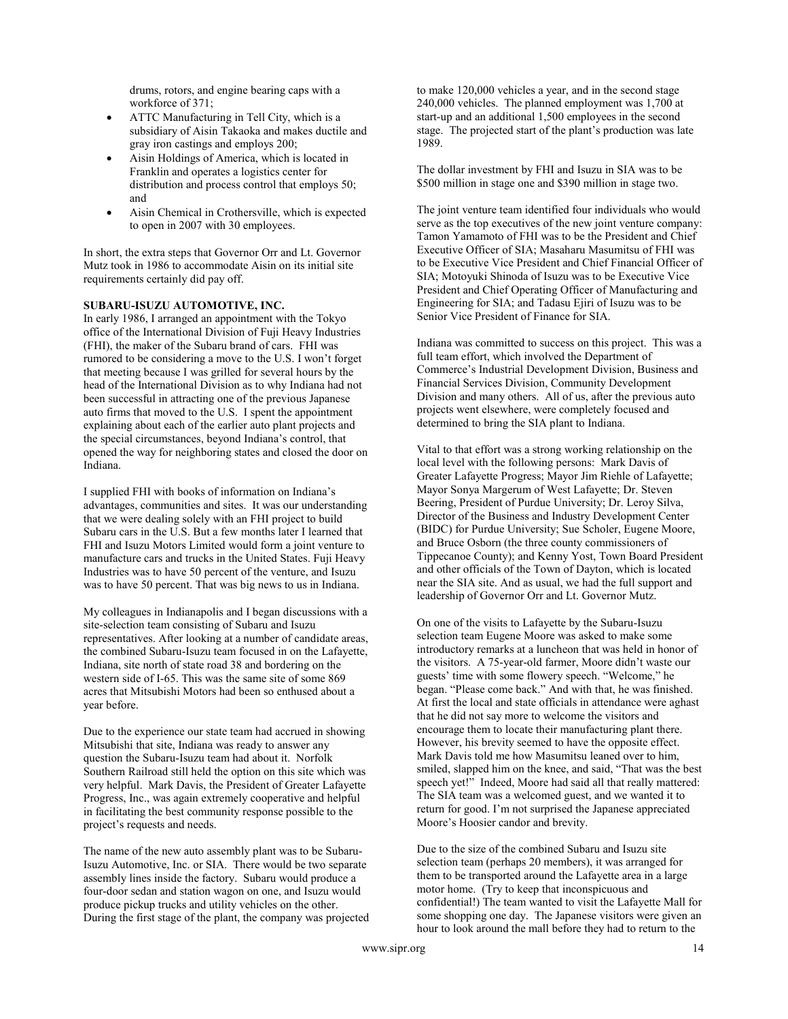drums, rotors, and engine bearing caps with a workforce of 371;

- ATTC Manufacturing in Tell City, which is a subsidiary of Aisin Takaoka and makes ductile and gray iron castings and employs 200;
- Aisin Holdings of America, which is located in Franklin and operates a logistics center for distribution and process control that employs 50; and
- Aisin Chemical in Crothersville, which is expected to open in 2007 with 30 employees.

In short, the extra steps that Governor Orr and Lt. Governor Mutz took in 1986 to accommodate Aisin on its initial site requirements certainly did pay off.

#### SUBARU-ISUZU AUTOMOTIVE, INC.

In early 1986, I arranged an appointment with the Tokyo office of the International Division of Fuji Heavy Industries (FHI), the maker of the Subaru brand of cars. FHI was rumored to be considering a move to the U.S. I won't forget that meeting because I was grilled for several hours by the head of the International Division as to why Indiana had not been successful in attracting one of the previous Japanese auto firms that moved to the U.S. I spent the appointment explaining about each of the earlier auto plant projects and the special circumstances, beyond Indiana's control, that opened the way for neighboring states and closed the door on Indiana.

I supplied FHI with books of information on Indiana's advantages, communities and sites. It was our understanding that we were dealing solely with an FHI project to build Subaru cars in the U.S. But a few months later I learned that FHI and Isuzu Motors Limited would form a joint venture to manufacture cars and trucks in the United States. Fuji Heavy Industries was to have 50 percent of the venture, and Isuzu was to have 50 percent. That was big news to us in Indiana.

My colleagues in Indianapolis and I began discussions with a site-selection team consisting of Subaru and Isuzu representatives. After looking at a number of candidate areas, the combined Subaru-Isuzu team focused in on the Lafayette, Indiana, site north of state road 38 and bordering on the western side of I-65. This was the same site of some 869 acres that Mitsubishi Motors had been so enthused about a year before.

Due to the experience our state team had accrued in showing Mitsubishi that site, Indiana was ready to answer any question the Subaru-Isuzu team had about it. Norfolk Southern Railroad still held the option on this site which was very helpful. Mark Davis, the President of Greater Lafayette Progress, Inc., was again extremely cooperative and helpful in facilitating the best community response possible to the project's requests and needs.

The name of the new auto assembly plant was to be Subaru-Isuzu Automotive, Inc. or SIA. There would be two separate assembly lines inside the factory. Subaru would produce a four-door sedan and station wagon on one, and Isuzu would produce pickup trucks and utility vehicles on the other. During the first stage of the plant, the company was projected to make 120,000 vehicles a year, and in the second stage 240,000 vehicles. The planned employment was 1,700 at start-up and an additional 1,500 employees in the second stage. The projected start of the plant's production was late 1989.

The dollar investment by FHI and Isuzu in SIA was to be \$500 million in stage one and \$390 million in stage two.

The joint venture team identified four individuals who would serve as the top executives of the new joint venture company: Tamon Yamamoto of FHI was to be the President and Chief Executive Officer of SIA; Masaharu Masumitsu of FHI was to be Executive Vice President and Chief Financial Officer of SIA; Motoyuki Shinoda of Isuzu was to be Executive Vice President and Chief Operating Officer of Manufacturing and Engineering for SIA; and Tadasu Ejiri of Isuzu was to be Senior Vice President of Finance for SIA.

Indiana was committed to success on this project. This was a full team effort, which involved the Department of Commerce's Industrial Development Division, Business and Financial Services Division, Community Development Division and many others. All of us, after the previous auto projects went elsewhere, were completely focused and determined to bring the SIA plant to Indiana.

Vital to that effort was a strong working relationship on the local level with the following persons: Mark Davis of Greater Lafayette Progress; Mayor Jim Riehle of Lafayette; Mayor Sonya Margerum of West Lafayette; Dr. Steven Beering, President of Purdue University; Dr. Leroy Silva, Director of the Business and Industry Development Center (BIDC) for Purdue University; Sue Scholer, Eugene Moore, and Bruce Osborn (the three county commissioners of Tippecanoe County); and Kenny Yost, Town Board President and other officials of the Town of Dayton, which is located near the SIA site. And as usual, we had the full support and leadership of Governor Orr and Lt. Governor Mutz.

On one of the visits to Lafayette by the Subaru-Isuzu selection team Eugene Moore was asked to make some introductory remarks at a luncheon that was held in honor of the visitors. A 75-year-old farmer, Moore didn't waste our guests' time with some flowery speech. "Welcome," he began. "Please come back." And with that, he was finished. At first the local and state officials in attendance were aghast that he did not say more to welcome the visitors and encourage them to locate their manufacturing plant there. However, his brevity seemed to have the opposite effect. Mark Davis told me how Masumitsu leaned over to him, smiled, slapped him on the knee, and said, "That was the best speech yet!" Indeed, Moore had said all that really mattered: The SIA team was a welcomed guest, and we wanted it to return for good. I'm not surprised the Japanese appreciated Moore's Hoosier candor and brevity.

Due to the size of the combined Subaru and Isuzu site selection team (perhaps 20 members), it was arranged for them to be transported around the Lafayette area in a large motor home. (Try to keep that inconspicuous and confidential!) The team wanted to visit the Lafayette Mall for some shopping one day. The Japanese visitors were given an hour to look around the mall before they had to return to the